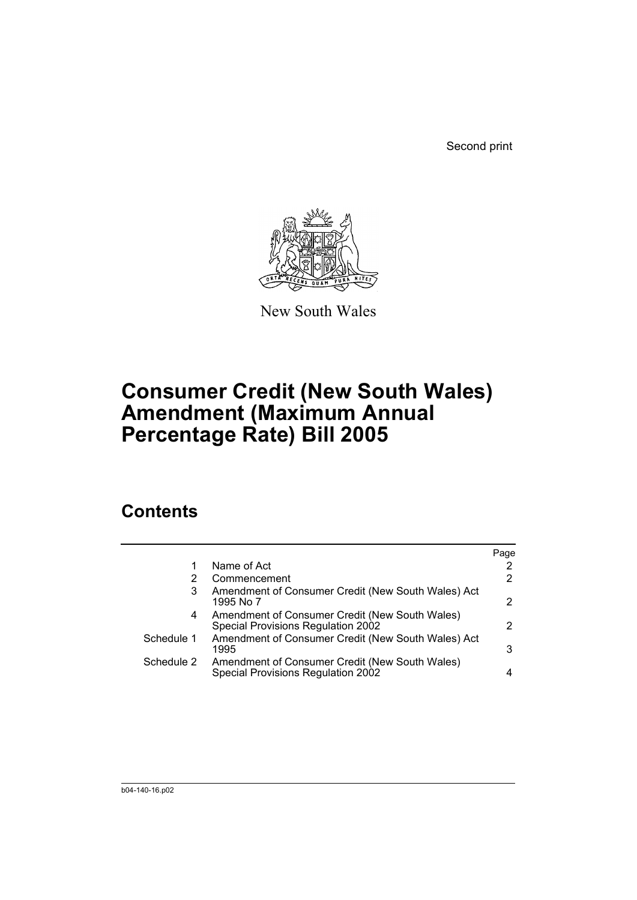Second print



New South Wales

# **Consumer Credit (New South Wales) Amendment (Maximum Annual Percentage Rate) Bill 2005**

## **Contents**

|                                                                                      | Page |
|--------------------------------------------------------------------------------------|------|
| Name of Act                                                                          |      |
| Commencement                                                                         |      |
| Amendment of Consumer Credit (New South Wales) Act<br>1995 No 7                      | 2    |
| Amendment of Consumer Credit (New South Wales)<br>Special Provisions Regulation 2002 | 2    |
| Amendment of Consumer Credit (New South Wales) Act<br>1995                           | 3    |
| Amendment of Consumer Credit (New South Wales)<br>Special Provisions Regulation 2002 | 4    |
|                                                                                      |      |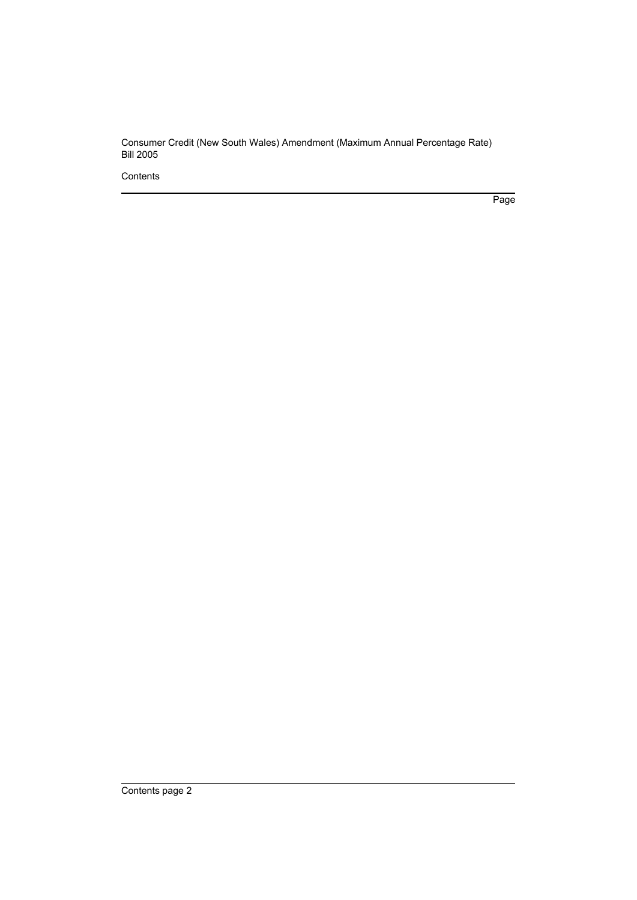**Contents** 

Page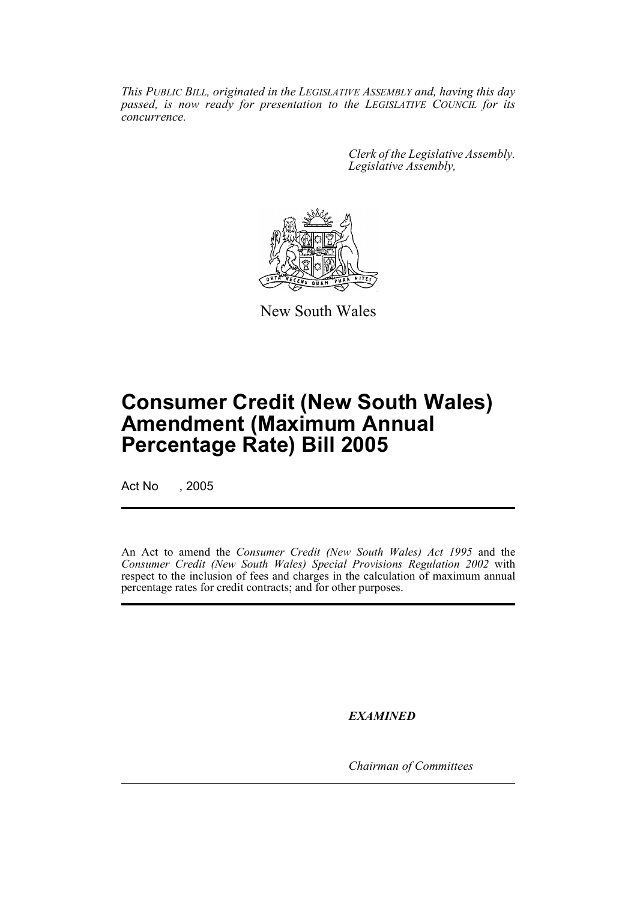*This PUBLIC BILL, originated in the LEGISLATIVE ASSEMBLY and, having this day passed, is now ready for presentation to the LEGISLATIVE COUNCIL for its concurrence.*

> *Clerk of the Legislative Assembly. Legislative Assembly,*



New South Wales

## **Consumer Credit (New South Wales) Amendment (Maximum Annual Percentage Rate) Bill 2005**

Act No , 2005

An Act to amend the *Consumer Credit (New South Wales) Act 1995* and the *Consumer Credit (New South Wales) Special Provisions Regulation 2002* with respect to the inclusion of fees and charges in the calculation of maximum annual percentage rates for credit contracts; and for other purposes.

*EXAMINED*

*Chairman of Committees*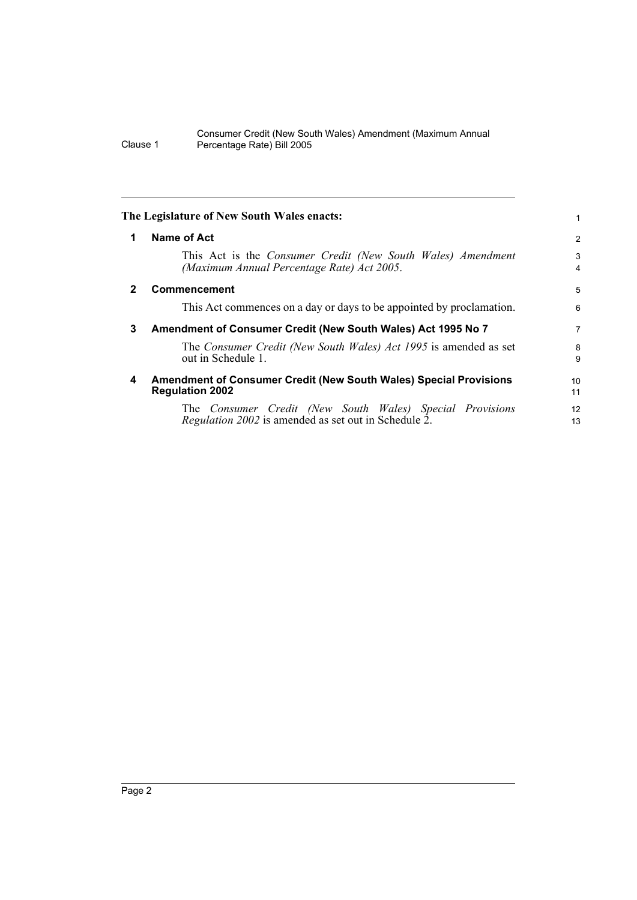|              | The Legislature of New South Wales enacts:                                                                       | 1              |  |
|--------------|------------------------------------------------------------------------------------------------------------------|----------------|--|
| 1            | <b>Name of Act</b>                                                                                               | $\overline{2}$ |  |
|              | This Act is the Consumer Credit (New South Wales) Amendment<br>(Maximum Annual Percentage Rate) Act 2005.        | 3<br>4         |  |
| $\mathbf{2}$ | <b>Commencement</b>                                                                                              | 5              |  |
|              | This Act commences on a day or days to be appointed by proclamation.                                             | 6              |  |
| 3            | Amendment of Consumer Credit (New South Wales) Act 1995 No 7                                                     |                |  |
|              | The Consumer Credit (New South Wales) Act 1995 is amended as set<br>out in Schedule 1.                           | 8<br>9         |  |
| 4            | Amendment of Consumer Credit (New South Wales) Special Provisions<br><b>Regulation 2002</b>                      | 10<br>11       |  |
|              | The Consumer Credit (New South Wales) Special Provisions<br>Regulation 2002 is amended as set out in Schedule 2. | 12<br>13       |  |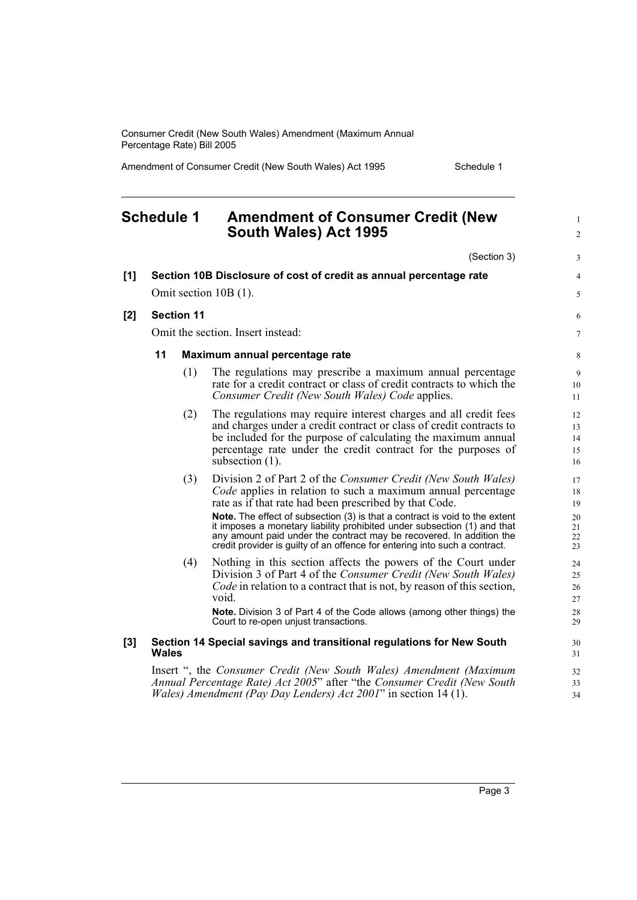Amendment of Consumer Credit (New South Wales) Act 1995 Schedule 1

1  $\mathfrak{Z}$ 

3 4 5

6 7

8  $\alpha$ 

34

#### **Schedule 1 Amendment of Consumer Credit (New South Wales) Act 1995** (Section 3) **[1] Section 10B Disclosure of cost of credit as annual percentage rate** Omit section 10B (1). **[2] Section 11** Omit the section. Insert instead: **11 Maximum annual percentage rate** (1) The regulations may prescribe a maximum annual percentage rate for a credit contract or class of credit contracts to which the *Consumer Credit (New South Wales) Code* applies. (2) The regulations may require interest charges and all credit fees and charges under a credit contract or class of credit contracts to be included for the purpose of calculating the maximum annual percentage rate under the credit contract for the purposes of subsection  $(1)$ . (3) Division 2 of Part 2 of the *Consumer Credit (New South Wales) Code* applies in relation to such a maximum annual percentage rate as if that rate had been prescribed by that Code. **Note.** The effect of subsection (3) is that a contract is void to the extent it imposes a monetary liability prohibited under subsection (1) and that any amount paid under the contract may be recovered. In addition the credit provider is guilty of an offence for entering into such a contract. (4) Nothing in this section affects the powers of the Court under Division 3 of Part 4 of the *Consumer Credit (New South Wales) Code* in relation to a contract that is not, by reason of this section, void. **Note.** Division 3 of Part 4 of the Code allows (among other things) the Court to re-open unjust transactions. **[3] Section 14 Special savings and transitional regulations for New South Wales** Insert ", the *Consumer Credit (New South Wales) Amendment (Maximum* 10 11 12 13 14 15 16 17 18 19 20  $21$ 22 23 24  $25$ 26 27 28 29 30 31 32 33

*Annual Percentage Rate) Act 2005*" after "the *Consumer Credit (New South Wales) Amendment (Pay Day Lenders) Act 2001*" in section 14 (1).

Page 3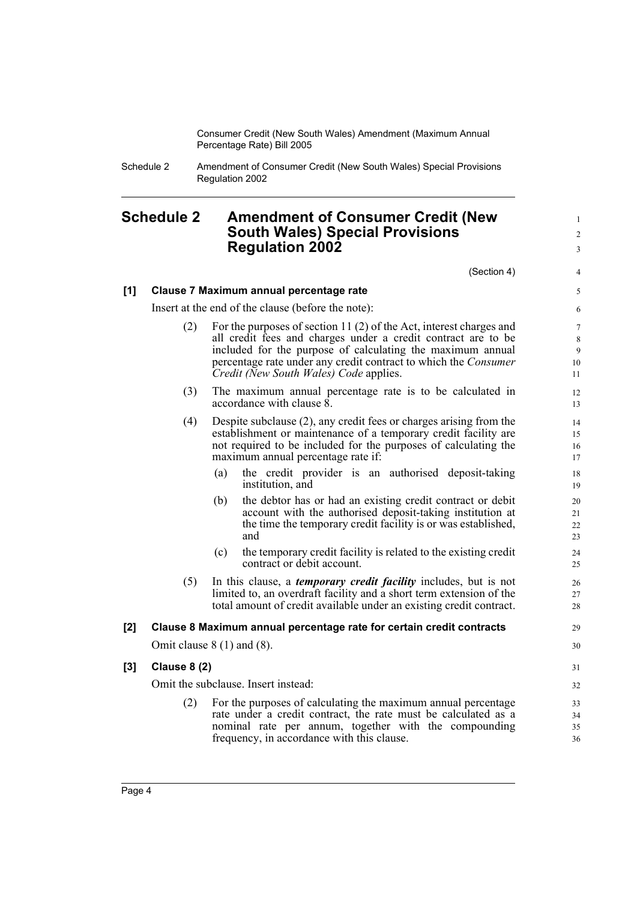Schedule 2 Amendment of Consumer Credit (New South Wales) Special Provisions Regulation 2002

### **Schedule 2 Amendment of Consumer Credit (New South Wales) Special Provisions Regulation 2002**

1 2 3

|     |                                                                                                                                                                                                                              | (Section 4)                                                                                                                                                                                                                                                                                                     | 4                                                   |  |  |  |
|-----|------------------------------------------------------------------------------------------------------------------------------------------------------------------------------------------------------------------------------|-----------------------------------------------------------------------------------------------------------------------------------------------------------------------------------------------------------------------------------------------------------------------------------------------------------------|-----------------------------------------------------|--|--|--|
| [1] |                                                                                                                                                                                                                              | Clause 7 Maximum annual percentage rate                                                                                                                                                                                                                                                                         | 5                                                   |  |  |  |
|     | Insert at the end of the clause (before the note):                                                                                                                                                                           |                                                                                                                                                                                                                                                                                                                 |                                                     |  |  |  |
|     | (2)                                                                                                                                                                                                                          | For the purposes of section 11 (2) of the Act, interest charges and<br>all credit fees and charges under a credit contract are to be<br>included for the purpose of calculating the maximum annual<br>percentage rate under any credit contract to which the Consumer<br>Credit (New South Wales) Code applies. | $\tau$<br>$\,$ 8 $\,$<br>$\overline{9}$<br>10<br>11 |  |  |  |
|     | (3)                                                                                                                                                                                                                          | The maximum annual percentage rate is to be calculated in<br>accordance with clause $\overline{8}$ .                                                                                                                                                                                                            | 12<br>13                                            |  |  |  |
|     | (4)                                                                                                                                                                                                                          | Despite subclause (2), any credit fees or charges arising from the<br>establishment or maintenance of a temporary credit facility are<br>not required to be included for the purposes of calculating the<br>maximum annual percentage rate if:                                                                  | 14<br>15<br>16<br>17                                |  |  |  |
|     |                                                                                                                                                                                                                              | the credit provider is an authorised deposit-taking<br>(a)<br>institution, and                                                                                                                                                                                                                                  | 18<br>19                                            |  |  |  |
|     |                                                                                                                                                                                                                              | the debtor has or had an existing credit contract or debit<br>(b)<br>account with the authorised deposit-taking institution at<br>the time the temporary credit facility is or was established,<br>and                                                                                                          | 20<br>21<br>22<br>23                                |  |  |  |
|     |                                                                                                                                                                                                                              | (c)<br>the temporary credit facility is related to the existing credit<br>contract or debit account.                                                                                                                                                                                                            | 24<br>25                                            |  |  |  |
|     | (5)<br>In this clause, a <i>temporary credit facility</i> includes, but is not<br>limited to, an overdraft facility and a short term extension of the<br>total amount of credit available under an existing credit contract. |                                                                                                                                                                                                                                                                                                                 |                                                     |  |  |  |
| [2] |                                                                                                                                                                                                                              | Clause 8 Maximum annual percentage rate for certain credit contracts                                                                                                                                                                                                                                            | 29                                                  |  |  |  |
|     | Omit clause $8(1)$ and $(8)$ .                                                                                                                                                                                               |                                                                                                                                                                                                                                                                                                                 |                                                     |  |  |  |
| [3] | Clause 8 (2)                                                                                                                                                                                                                 |                                                                                                                                                                                                                                                                                                                 |                                                     |  |  |  |
|     | Omit the subclause. Insert instead:                                                                                                                                                                                          |                                                                                                                                                                                                                                                                                                                 |                                                     |  |  |  |
|     | (2)                                                                                                                                                                                                                          | For the purposes of calculating the maximum annual percentage<br>rate under a credit contract, the rate must be calculated as a<br>nominal rate per annum, together with the compounding<br>frequency, in accordance with this clause.                                                                          | 33<br>34<br>35<br>36                                |  |  |  |
|     |                                                                                                                                                                                                                              |                                                                                                                                                                                                                                                                                                                 |                                                     |  |  |  |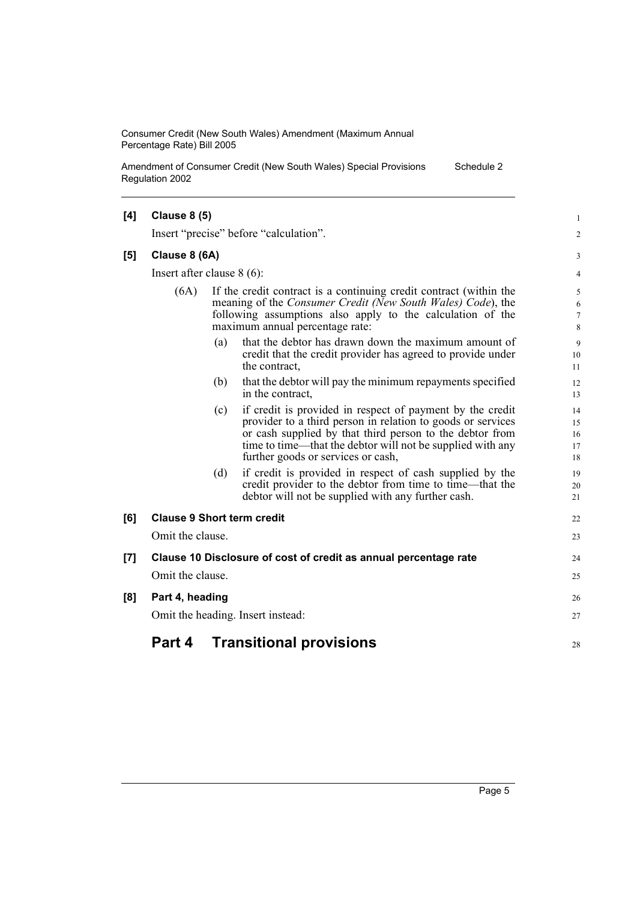Amendment of Consumer Credit (New South Wales) Special Provisions Regulation 2002 Schedule 2

| [4] | <b>Clause 8 (5)</b>                                                        |     |                                                                                                                                                                                                                                                                                          |                            |  |
|-----|----------------------------------------------------------------------------|-----|------------------------------------------------------------------------------------------------------------------------------------------------------------------------------------------------------------------------------------------------------------------------------------------|----------------------------|--|
|     |                                                                            |     | Insert "precise" before "calculation".                                                                                                                                                                                                                                                   | 1<br>$\overline{c}$        |  |
| [5] | Clause 8 (6A)<br>Insert after clause $8(6)$ :                              |     |                                                                                                                                                                                                                                                                                          |                            |  |
|     |                                                                            |     |                                                                                                                                                                                                                                                                                          |                            |  |
|     | (6A)<br>If the credit contract is a continuing credit contract (within the |     |                                                                                                                                                                                                                                                                                          |                            |  |
|     |                                                                            |     | meaning of the <i>Consumer Credit (New South Wales) Code</i> ), the<br>following assumptions also apply to the calculation of the<br>maximum annual percentage rate:                                                                                                                     | 6<br>7<br>8                |  |
|     |                                                                            | (a) | that the debtor has drawn down the maximum amount of<br>credit that the credit provider has agreed to provide under<br>the contract,                                                                                                                                                     | 9<br>10<br>11              |  |
|     |                                                                            | (b) | that the debtor will pay the minimum repayments specified<br>in the contract,                                                                                                                                                                                                            | 12<br>13                   |  |
|     |                                                                            | (c) | if credit is provided in respect of payment by the credit<br>provider to a third person in relation to goods or services<br>or cash supplied by that third person to the debtor from<br>time to time—that the debtor will not be supplied with any<br>further goods or services or cash, | 14<br>15<br>16<br>17<br>18 |  |
|     |                                                                            | (d) | if credit is provided in respect of cash supplied by the<br>credit provider to the debtor from time to time—that the<br>debtor will not be supplied with any further cash.                                                                                                               | 19<br>20<br>21             |  |
| [6] | <b>Clause 9 Short term credit</b>                                          |     |                                                                                                                                                                                                                                                                                          | 22                         |  |
|     | Omit the clause.                                                           |     |                                                                                                                                                                                                                                                                                          | 23                         |  |
| [7] |                                                                            |     | Clause 10 Disclosure of cost of credit as annual percentage rate                                                                                                                                                                                                                         | 24                         |  |
|     | Omit the clause.                                                           |     |                                                                                                                                                                                                                                                                                          |                            |  |
| [8] | Part 4, heading                                                            |     |                                                                                                                                                                                                                                                                                          | 26                         |  |
|     | Omit the heading. Insert instead:                                          |     |                                                                                                                                                                                                                                                                                          | 27                         |  |
|     | Part 4                                                                     |     | <b>Transitional provisions</b>                                                                                                                                                                                                                                                           | 28                         |  |